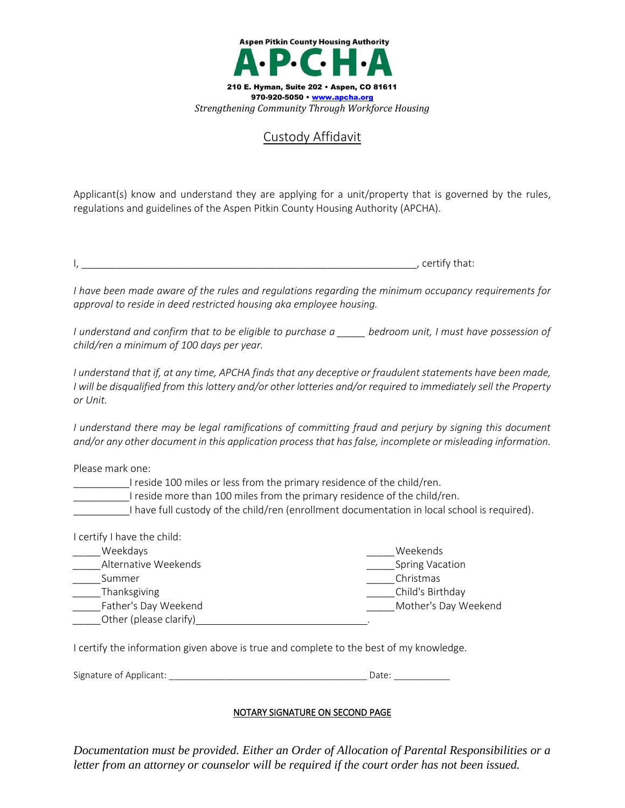

## Custody Affidavit

Applicant(s) know and understand they are applying for a unit/property that is governed by the rules, regulations and guidelines of the Aspen Pitkin County Housing Authority (APCHA).

 $\overline{\phantom{a}}$ , certify that:

*I have been made aware of the rules and regulations regarding the minimum occupancy requirements for approval to reside in deed restricted housing aka employee housing.*

*I understand and confirm that to be eligible to purchase a \_\_\_\_\_ bedroom unit, I must have possession of child/ren a minimum of 100 days per year.*

*I understand that if, at any time, APCHA finds that any deceptive or fraudulent statements have been made, I will be disqualified from this lottery and/or other lotteries and/or required to immediately sell the Property or Unit.*

*I* understand there may be legal ramifications of committing fraud and perjury by signing this document *and/or any other document in this application process that has false, incomplete or misleading information.*

Please mark one:

I reside 100 miles or less from the primary residence of the child/ren.

\_\_\_\_\_\_\_\_\_\_I reside more than 100 miles from the primary residence of the child/ren.

\_\_\_\_\_\_\_\_\_\_I have full custody of the child/ren (enrollment documentation in local school is required).

| I certify I have the child: |                        |
|-----------------------------|------------------------|
| Weekdays                    | Weekends               |
| Alternative Weekends        | <b>Spring Vacation</b> |
| Summer                      | Christmas              |
| Thanksgiving                | Child's Birthday       |
| Father's Day Weekend        | Mother's Day Weekend   |
| Other (please clarify)      |                        |

I certify the information given above is true and complete to the best of my knowledge.

Signature of Applicant: \_\_\_\_\_\_\_\_\_\_\_\_\_\_\_\_\_\_\_\_\_\_\_\_\_\_\_\_\_\_\_\_\_\_\_\_\_\_\_ Date: \_\_\_\_\_\_\_\_\_\_\_

## NOTARY SIGNATURE ON SECOND PAGE

*Documentation must be provided. Either an Order of Allocation of Parental Responsibilities or a letter from an attorney or counselor will be required if the court order has not been issued.*